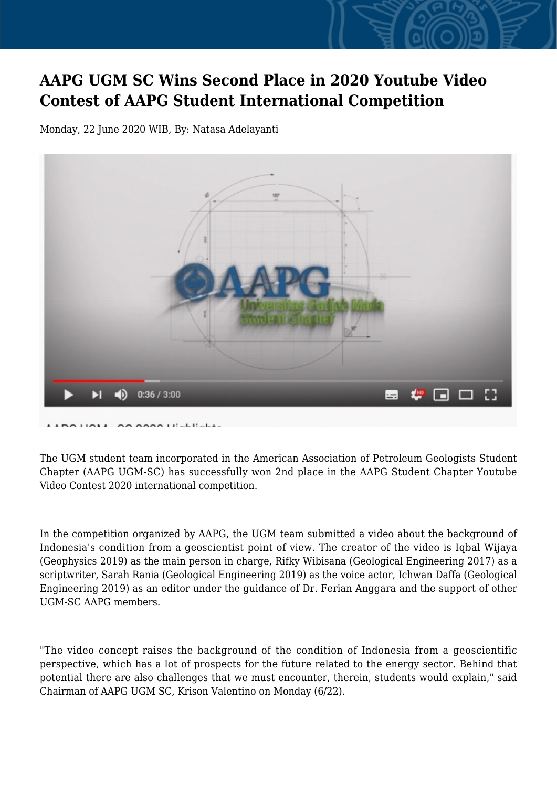## **AAPG UGM SC Wins Second Place in 2020 Youtube Video Contest of AAPG Student International Competition**

Monday, 22 June 2020 WIB, By: Natasa Adelayanti



The UGM student team incorporated in the American Association of Petroleum Geologists Student Chapter (AAPG UGM-SC) has successfully won 2nd place in the AAPG Student Chapter Youtube Video Contest 2020 international competition.

In the competition organized by AAPG, the UGM team submitted a video about the background of Indonesia's condition from a geoscientist point of view. The creator of the video is Iqbal Wijaya (Geophysics 2019) as the main person in charge, Rifky Wibisana (Geological Engineering 2017) as a scriptwriter, Sarah Rania (Geological Engineering 2019) as the voice actor, Ichwan Daffa (Geological Engineering 2019) as an editor under the guidance of Dr. Ferian Anggara and the support of other UGM-SC AAPG members.

"The video concept raises the background of the condition of Indonesia from a geoscientific perspective, which has a lot of prospects for the future related to the energy sector. Behind that potential there are also challenges that we must encounter, therein, students would explain," said Chairman of AAPG UGM SC, Krison Valentino on Monday (6/22).